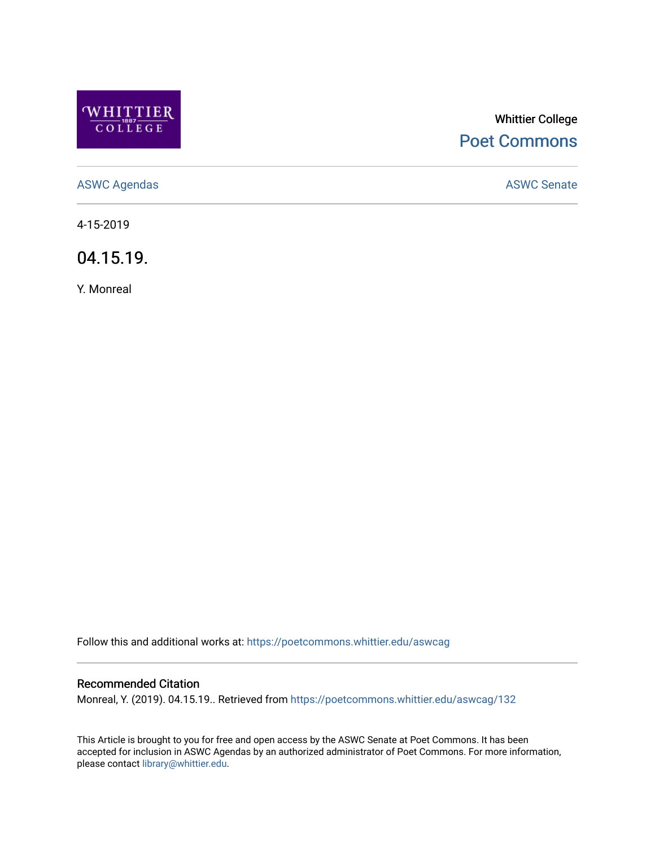

# Whittier College [Poet Commons](https://poetcommons.whittier.edu/)

[ASWC Agendas](https://poetcommons.whittier.edu/aswcag) **ASWC Senate** 

4-15-2019

04.15.19.

Y. Monreal

Follow this and additional works at: [https://poetcommons.whittier.edu/aswcag](https://poetcommons.whittier.edu/aswcag?utm_source=poetcommons.whittier.edu%2Faswcag%2F132&utm_medium=PDF&utm_campaign=PDFCoverPages) 

## Recommended Citation

Monreal, Y. (2019). 04.15.19.. Retrieved from [https://poetcommons.whittier.edu/aswcag/132](https://poetcommons.whittier.edu/aswcag/132?utm_source=poetcommons.whittier.edu%2Faswcag%2F132&utm_medium=PDF&utm_campaign=PDFCoverPages) 

This Article is brought to you for free and open access by the ASWC Senate at Poet Commons. It has been accepted for inclusion in ASWC Agendas by an authorized administrator of Poet Commons. For more information, please contact [library@whittier.edu](mailto:library@whittier.edu).